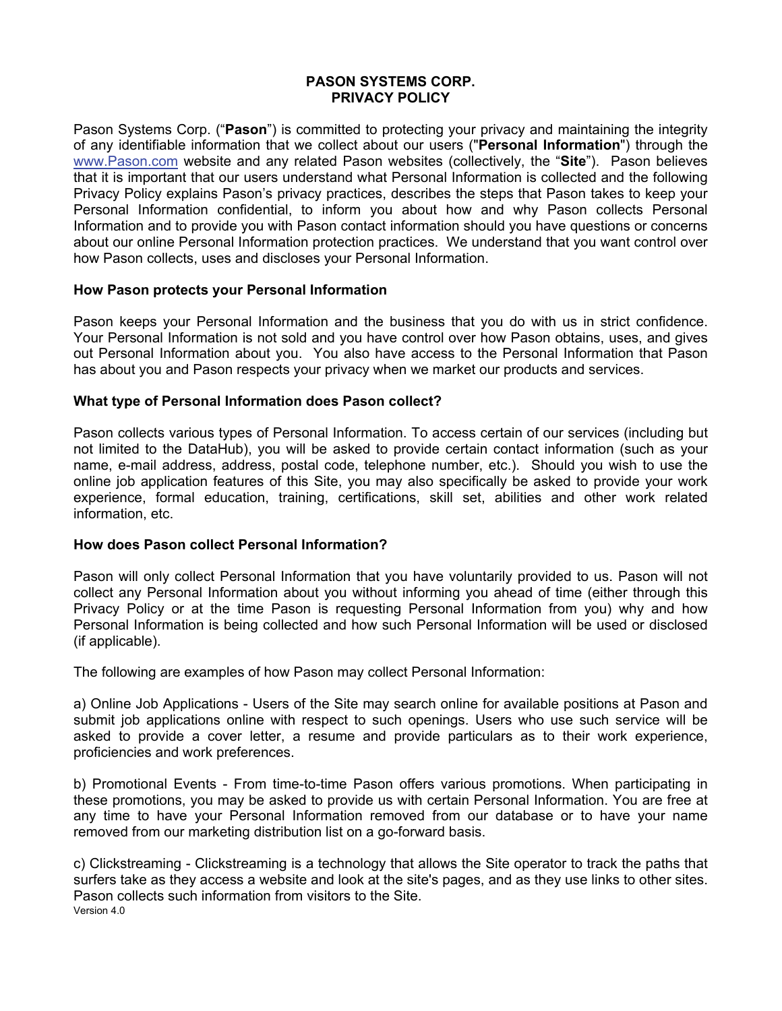## **PASON SYSTEMS CORP. PRIVACY POLICY**

Pason Systems Corp. ("**Pason**") is committed to protecting your privacy and maintaining the integrity of any identifiable information that we collect about our users ("**Personal Information**") through the [www.Pason.com](http://www.pason.com/) website and any related Pason websites (collectively, the "**Site**"). Pason believes that it is important that our users understand what Personal Information is collected and the following Privacy Policy explains Pason's privacy practices, describes the steps that Pason takes to keep your Personal Information confidential, to inform you about how and why Pason collects Personal Information and to provide you with Pason contact information should you have questions or concerns about our online Personal Information protection practices. We understand that you want control over how Pason collects, uses and discloses your Personal Information.

### **How Pason protects your Personal Information**

Pason keeps your Personal Information and the business that you do with us in strict confidence. Your Personal Information is not sold and you have control over how Pason obtains, uses, and gives out Personal Information about you. You also have access to the Personal Information that Pason has about you and Pason respects your privacy when we market our products and services.

## **What type of Personal Information does Pason collect?**

Pason collects various types of Personal Information. To access certain of our services (including but not limited to the DataHub), you will be asked to provide certain contact information (such as your name, e-mail address, address, postal code, telephone number, etc.). Should you wish to use the online job application features of this Site, you may also specifically be asked to provide your work experience, formal education, training, certifications, skill set, abilities and other work related information, etc.

#### **How does Pason collect Personal Information?**

Pason will only collect Personal Information that you have voluntarily provided to us. Pason will not collect any Personal Information about you without informing you ahead of time (either through this Privacy Policy or at the time Pason is requesting Personal Information from you) why and how Personal Information is being collected and how such Personal Information will be used or disclosed (if applicable).

The following are examples of how Pason may collect Personal Information:

a) Online Job Applications - Users of the Site may search online for available positions at Pason and submit job applications online with respect to such openings. Users who use such service will be asked to provide a cover letter, a resume and provide particulars as to their work experience, proficiencies and work preferences.

b) Promotional Events - From time-to-time Pason offers various promotions. When participating in these promotions, you may be asked to provide us with certain Personal Information. You are free at any time to have your Personal Information removed from our database or to have your name removed from our marketing distribution list on a go-forward basis.

Version 4.0 c) Clickstreaming - Clickstreaming is a technology that allows the Site operator to track the paths that surfers take as they access a website and look at the site's pages, and as they use links to other sites. Pason collects such information from visitors to the Site.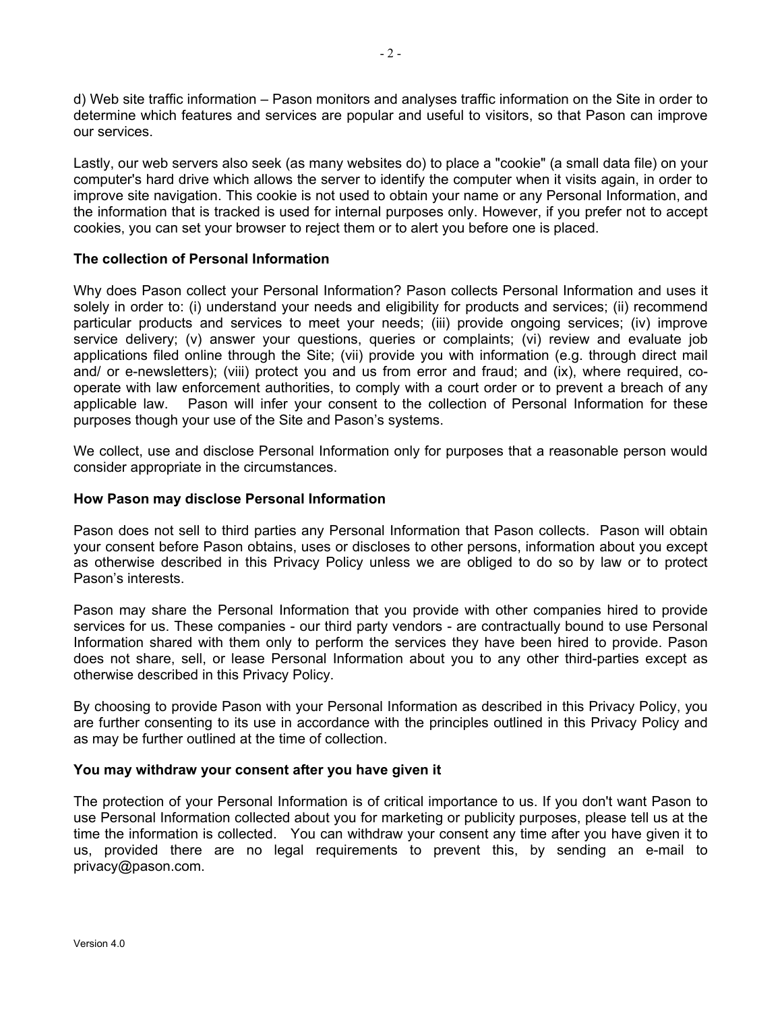d) Web site traffic information – Pason monitors and analyses traffic information on the Site in order to determine which features and services are popular and useful to visitors, so that Pason can improve our services.

Lastly, our web servers also seek (as many websites do) to place a "cookie" (a small data file) on your computer's hard drive which allows the server to identify the computer when it visits again, in order to improve site navigation. This cookie is not used to obtain your name or any Personal Information, and the information that is tracked is used for internal purposes only. However, if you prefer not to accept cookies, you can set your browser to reject them or to alert you before one is placed.

### **The collection of Personal Information**

Why does Pason collect your Personal Information? Pason collects Personal Information and uses it solely in order to: (i) understand your needs and eligibility for products and services; (ii) recommend particular products and services to meet your needs; (iii) provide ongoing services; (iv) improve service delivery; (v) answer your questions, queries or complaints; (vi) review and evaluate job applications filed online through the Site; (vii) provide you with information (e.g. through direct mail and/ or e-newsletters); (viii) protect you and us from error and fraud; and (ix), where required, cooperate with law enforcement authorities, to comply with a court order or to prevent a breach of any applicable law. Pason will infer your consent to the collection of Personal Information for these purposes though your use of the Site and Pason's systems.

We collect, use and disclose Personal Information only for purposes that a reasonable person would consider appropriate in the circumstances.

#### **How Pason may disclose Personal Information**

Pason does not sell to third parties any Personal Information that Pason collects. Pason will obtain your consent before Pason obtains, uses or discloses to other persons, information about you except as otherwise described in this Privacy Policy unless we are obliged to do so by law or to protect Pason's interests.

Pason may share the Personal Information that you provide with other companies hired to provide services for us. These companies - our third party vendors - are contractually bound to use Personal Information shared with them only to perform the services they have been hired to provide. Pason does not share, sell, or lease Personal Information about you to any other third-parties except as otherwise described in this Privacy Policy.

By choosing to provide Pason with your Personal Information as described in this Privacy Policy, you are further consenting to its use in accordance with the principles outlined in this Privacy Policy and as may be further outlined at the time of collection.

#### **You may withdraw your consent after you have given it**

The protection of your Personal Information is of critical importance to us. If you don't want Pason to use Personal Information collected about you for marketing or publicity purposes, please tell us at the time the information is collected. You can withdraw your consent any time after you have given it to us, provided there are no legal requirements to prevent this, by sending an e-mail to privacy@pason.com.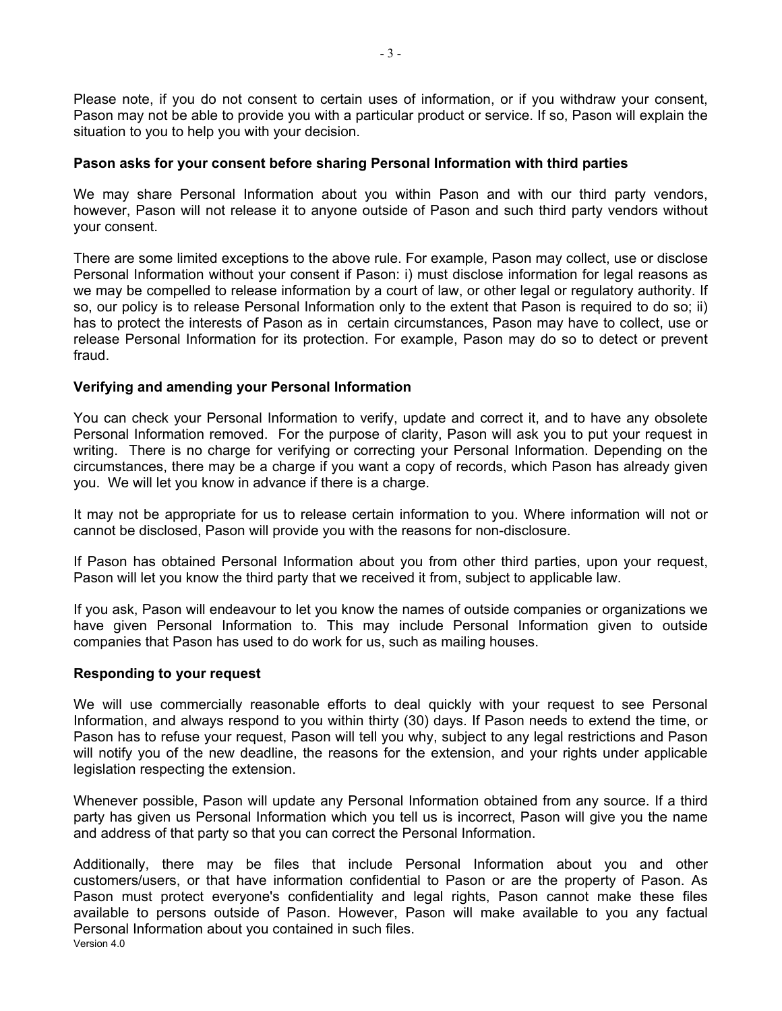Please note, if you do not consent to certain uses of information, or if you withdraw your consent, Pason may not be able to provide you with a particular product or service. If so, Pason will explain the situation to you to help you with your decision.

### **Pason asks for your consent before sharing Personal Information with third parties**

We may share Personal Information about you within Pason and with our third party vendors, however, Pason will not release it to anyone outside of Pason and such third party vendors without your consent.

There are some limited exceptions to the above rule. For example, Pason may collect, use or disclose Personal Information without your consent if Pason: i) must disclose information for legal reasons as we may be compelled to release information by a court of law, or other legal or regulatory authority. If so, our policy is to release Personal Information only to the extent that Pason is required to do so; ii) has to protect the interests of Pason as in certain circumstances, Pason may have to collect, use or release Personal Information for its protection. For example, Pason may do so to detect or prevent fraud.

### **Verifying and amending your Personal Information**

You can check your Personal Information to verify, update and correct it, and to have any obsolete Personal Information removed. For the purpose of clarity, Pason will ask you to put your request in writing. There is no charge for verifying or correcting your Personal Information. Depending on the circumstances, there may be a charge if you want a copy of records, which Pason has already given you. We will let you know in advance if there is a charge.

It may not be appropriate for us to release certain information to you. Where information will not or cannot be disclosed, Pason will provide you with the reasons for non-disclosure.

If Pason has obtained Personal Information about you from other third parties, upon your request, Pason will let you know the third party that we received it from, subject to applicable law.

If you ask, Pason will endeavour to let you know the names of outside companies or organizations we have given Personal Information to. This may include Personal Information given to outside companies that Pason has used to do work for us, such as mailing houses.

#### **Responding to your request**

We will use commercially reasonable efforts to deal quickly with your request to see Personal Information, and always respond to you within thirty (30) days. If Pason needs to extend the time, or Pason has to refuse your request, Pason will tell you why, subject to any legal restrictions and Pason will notify you of the new deadline, the reasons for the extension, and your rights under applicable legislation respecting the extension.

Whenever possible, Pason will update any Personal Information obtained from any source. If a third party has given us Personal Information which you tell us is incorrect, Pason will give you the name and address of that party so that you can correct the Personal Information.

Version 4.0 Additionally, there may be files that include Personal Information about you and other customers/users, or that have information confidential to Pason or are the property of Pason. As Pason must protect everyone's confidentiality and legal rights, Pason cannot make these files available to persons outside of Pason. However, Pason will make available to you any factual Personal Information about you contained in such files.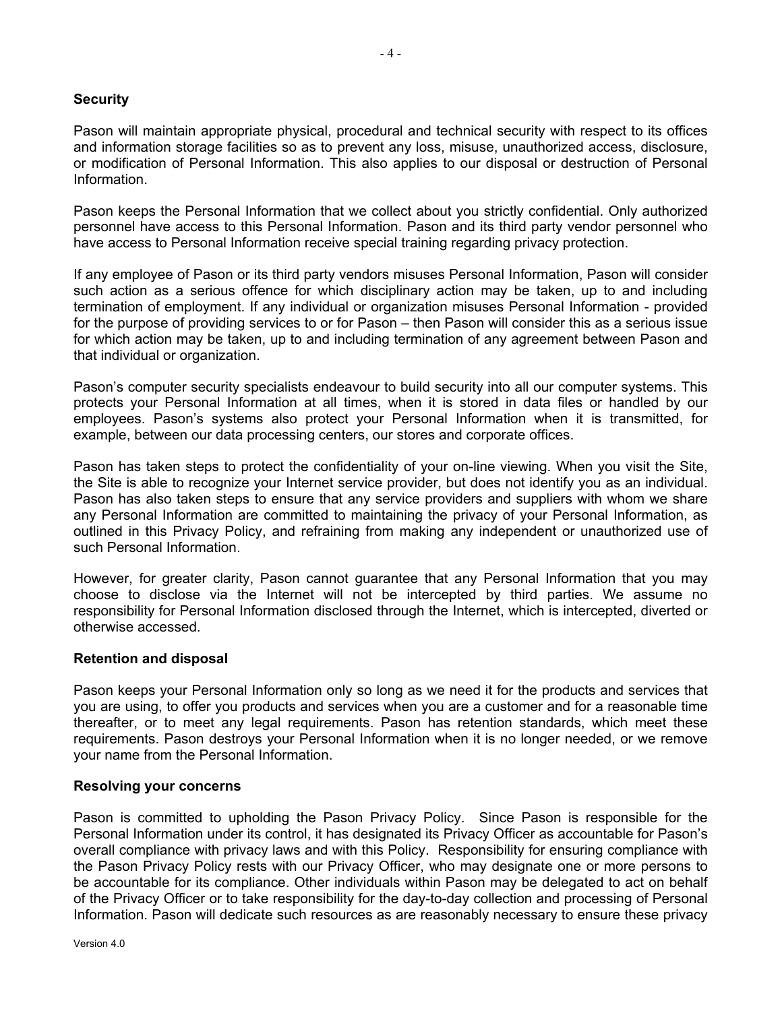# **Security**

Pason will maintain appropriate physical, procedural and technical security with respect to its offices and information storage facilities so as to prevent any loss, misuse, unauthorized access, disclosure, or modification of Personal Information. This also applies to our disposal or destruction of Personal Information.

Pason keeps the Personal Information that we collect about you strictly confidential. Only authorized personnel have access to this Personal Information. Pason and its third party vendor personnel who have access to Personal Information receive special training regarding privacy protection.

If any employee of Pason or its third party vendors misuses Personal Information, Pason will consider such action as a serious offence for which disciplinary action may be taken, up to and including termination of employment. If any individual or organization misuses Personal Information - provided for the purpose of providing services to or for Pason – then Pason will consider this as a serious issue for which action may be taken, up to and including termination of any agreement between Pason and that individual or organization.

Pason's computer security specialists endeavour to build security into all our computer systems. This protects your Personal Information at all times, when it is stored in data files or handled by our employees. Pason's systems also protect your Personal Information when it is transmitted, for example, between our data processing centers, our stores and corporate offices.

Pason has taken steps to protect the confidentiality of your on-line viewing. When you visit the Site, the Site is able to recognize your Internet service provider, but does not identify you as an individual. Pason has also taken steps to ensure that any service providers and suppliers with whom we share any Personal Information are committed to maintaining the privacy of your Personal Information, as outlined in this Privacy Policy, and refraining from making any independent or unauthorized use of such Personal Information.

However, for greater clarity, Pason cannot guarantee that any Personal Information that you may choose to disclose via the Internet will not be intercepted by third parties. We assume no responsibility for Personal Information disclosed through the Internet, which is intercepted, diverted or otherwise accessed.

#### **Retention and disposal**

Pason keeps your Personal Information only so long as we need it for the products and services that you are using, to offer you products and services when you are a customer and for a reasonable time thereafter, or to meet any legal requirements. Pason has retention standards, which meet these requirements. Pason destroys your Personal Information when it is no longer needed, or we remove your name from the Personal Information.

#### **Resolving your concerns**

Pason is committed to upholding the Pason Privacy Policy. Since Pason is responsible for the Personal Information under its control, it has designated its Privacy Officer as accountable for Pason's overall compliance with privacy laws and with this Policy. Responsibility for ensuring compliance with the Pason Privacy Policy rests with our Privacy Officer, who may designate one or more persons to be accountable for its compliance. Other individuals within Pason may be delegated to act on behalf of the Privacy Officer or to take responsibility for the day-to-day collection and processing of Personal Information. Pason will dedicate such resources as are reasonably necessary to ensure these privacy